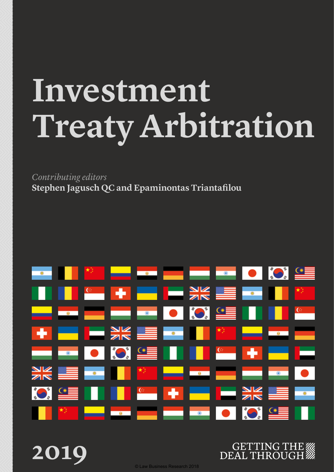# **Investment Treaty Arbitration**

*Contributing editors* **Stephen Jagusch QC and Epaminontas Triantafilou**

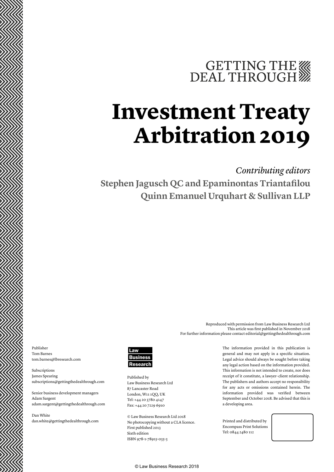## GETTING THE

## **Investment Treaty Arbitration 2019**

#### *Contributing editors*

**Stephen Jagusch QC and Epaminontas Triantafilou Quinn Emanuel Urquhart & Sullivan LLP**

For further information please contact editorial@gettingthedealthrough.com

Publisher Tom Barnes tom.barnes@lbresearch.com

Subscriptions James Spearing subscriptions@gettingthedealthrough.com

Senior business development managers Adam Sargent adam.sargent@gettingthedealthrough.com

Dan White dan.white@gettingthedealthrough.com



Published by Law Business Research Ltd 87 Lancaster Road London, W11 1QQ, UK Tel: +44 20 3780 4147 Fax: +44 20 7229 6910

© Law Business Research Ltd 2018 No photocopying without a CLA licence. First published 2013 Sixth edition ISBN 978-1-78915-035-3

The information provided in this publication is general and may not apply in a specific situation. Legal advice should always be sought before taking any legal action based on the information provided. This information is not intended to create, nor does receipt of it constitute, a lawyer–client relationship. The publishers and authors accept no responsibility for any acts or omissions contained herein. The information provided was verified between September and October 2018. Be advised that this is a developing area.

Reproduced with permission from Law Business Research Ltd

This article was first published in November 2018

Printed and distributed by Encompass Print Solutions Tel: 0844 2480 112

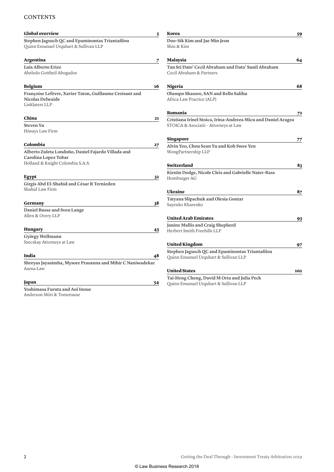#### **CONTENTS**

| <b>Global overview</b>                                                                                         | 5  | Korea                                                                                                  | 59  |
|----------------------------------------------------------------------------------------------------------------|----|--------------------------------------------------------------------------------------------------------|-----|
| Stephen Jagusch QC and Epaminontas Triantafilou<br>Quinn Emanuel Urquhart & Sullivan LLP                       |    | Doo-Sik Kim and Jae Min Jeon<br>Shin & Kim                                                             |     |
| Argentina                                                                                                      | 7  | Malaysia                                                                                               | 64  |
| Luis Alberto Erize<br>Abeledo Gottheil Abogados                                                                |    | Tan Sri Dato' Cecil Abraham and Dato' Sunil Abraham<br>Cecil Abraham & Partners                        |     |
| Belgium                                                                                                        | 16 | Nigeria                                                                                                | 68  |
| Françoise Lefèvre, Xavier Taton, Guillaume Croisant and<br>Nicolas Delwaide<br>Linklaters LLP                  |    | Olasupo Shasore, SAN and Bello Salihu<br>Africa Law Practice (ALP)                                     |     |
|                                                                                                                |    | Romania                                                                                                | 72  |
| China<br>Steven Yu<br>Hiways Law Firm                                                                          | 21 | Cristiana Irinel Stoica, Irina-Andreea Micu and Daniel Aragea<br>STOICA & Asociatii - Attorneys at Law |     |
|                                                                                                                |    | Singapore                                                                                              | 77  |
| Colombia                                                                                                       | 27 | Alvin Yeo, Chou Sean Yu and Koh Swee Yen                                                               |     |
| Alberto Zuleta Londoño, Daniel Fajardo Villada and<br>Carolina Lopez Tobar<br>Holland & Knight Colombia S.A.S. |    | WongPartnership LLP                                                                                    |     |
|                                                                                                                |    | Switzerland                                                                                            | 83  |
| Egypt                                                                                                          | 32 | Kirstin Dodge, Nicole Cleis and Gabrielle Nater-Bass<br>Homburger AG                                   |     |
| Girgis Abd El-Shahid and César R Ternieden                                                                     |    |                                                                                                        |     |
| Shahid Law Firm                                                                                                |    | <b>Ukraine</b>                                                                                         | 87  |
| Germany                                                                                                        | 38 | Tatyana Slipachuk and Olesia Gontar<br>Sayenko Kharenko                                                |     |
| Daniel Busse and Sven Lange<br>Allen & Overy LLP                                                               |    |                                                                                                        |     |
|                                                                                                                |    | <b>United Arab Emirates</b>                                                                            | 93  |
| Hungary                                                                                                        | 43 | Janine Mallis and Craig Shepherd<br>Herbert Smith Freehills LLP                                        |     |
| György Wellmann                                                                                                |    |                                                                                                        |     |
| Szecskay Attorneys at Law                                                                                      |    | United Kingdom                                                                                         | 97  |
|                                                                                                                |    | Stephen Jagusch QC and Epaminontas Triantafilou                                                        |     |
| India                                                                                                          | 48 | Quinn Emanuel Urquhart & Sullivan LLP                                                                  |     |
| Shreyas Jayasimha, Mysore Prasanna and Mihir C Naniwadekar                                                     |    |                                                                                                        |     |
| Aarna Law                                                                                                      |    | <b>United States</b>                                                                                   | 102 |
| Japan                                                                                                          | 54 | Tai-Heng Cheng, David M Orta and Julia Peck                                                            |     |
| Yoshimasa Furuta and Aoi Inoue<br>Anderson Mōri & Tomotsune                                                    |    | Quinn Emanuel Urquhart & Sullivan LLP                                                                  |     |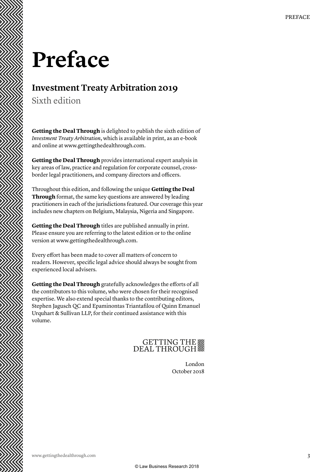## **Preface**

### **Investment Treaty Arbitration 2019**

Sixth edition

**Getting the Deal Through** is delighted to publish the sixth edition of *Investment Treaty Arbitration*, which is available in print, as an e-book and online at www.gettingthedealthrough.com.

**Getting the Deal Through** provides international expert analysis in key areas of law, practice and regulation for corporate counsel, crossborder legal practitioners, and company directors and officers.

Throughout this edition, and following the unique **Getting the Deal Through** format, the same key questions are answered by leading practitioners in each of the jurisdictions featured. Our coverage this year includes new chapters on Belgium, Malaysia, Nigeria and Singapore.

**Getting the Deal Through** titles are published annually in print. Please ensure you are referring to the latest edition or to the online version at www.gettingthedealthrough.com.

Every effort has been made to cover all matters of concern to readers. However, specific legal advice should always be sought from experienced local advisers.

**Getting the Deal Through** gratefully acknowledges the efforts of all the contributors to this volume, who were chosen for their recognised expertise. We also extend special thanks to the contributing editors, Stephen Jagusch QC and Epaminontas Triantafilou of Quinn Emanuel Urquhart & Sullivan LLP, for their continued assistance with this volume.

### GETTING THE

London October 2018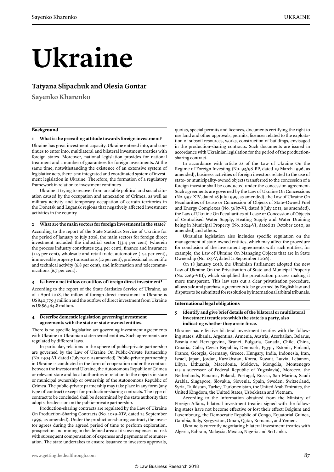# **Ukraine**

#### **Tatyana Slipachuk and Olesia Gontar**

**Sayenko Kharenko**

#### **Background**

#### **1 What is the prevailing attitude towards foreign investment?**

Ukraine has great investment capacity. Ukraine entered into, and continues to enter into, multilateral and bilateral investment treaties with foreign states. Moreover, national legislation provides for national treatment and a number of guarantees for foreign investments. At the same time, notwithstanding the existence of an extensive system of legislative acts, there is no integrated and coordinated system of investment legislation in Ukraine. Therefore, the formation of a regulatory framework in relation to investment continues.

Ukraine it trying to recover from unstable political and social situation caused by the occupation and annexation of Crimea, as well as military activity and temporary occupation of certain territories in the Donetsk and Lugansk regions that negatively affected investment activities in the country.

#### **2 What are the main sectors for foreign investment in the state?**

According to the report of the State Statistics Service of Ukraine for the period of January to July 2018, the main sectors for foreign direct investment included the industrial sector (33.4 per cent) (wherein the process industry constitutes 25.4 per cent), finance and insurance (11.5 per cent), wholesale and retail trade, automotive (15.5 per cent), immoveable property transactions (12 per cent), professional, scientific and technical activity (6.8 per cent), and information and telecommunications (6.7 per cent).

#### **3 Is there a net inflow or outflow of foreign direct investment?**

According to the report of the State Statistics Service of Ukraine, as of 1 April 2018, the inflow of foreign direct investment in Ukraine is US\$40,779.5 million and the outflow of direct investment from Ukraine is US\$6,564.8 million.

#### **4 Describe domestic legislation governing investment agreements with the state or state-owned entities.**

There is no specific legislative act governing investment agreements with Ukraine or Ukrainian state-owned entities. Such agreements are regulated by different laws.

In particular, relations in the sphere of public-private partnership are governed by the Law of Ukraine On Public-Private Partnership (No. 2404-VI, dated 1 July 2010, as amended). Public-private partnership in Ukraine is conducted in the form of cooperation under the contract between the investor and Ukraine, the Autonomous Republic of Crimea or relevant state and local authorities in relation to the objects in state or municipal ownership or ownership of the Autonomous Republic of Crimea. The public-private partnership may take place in any form (any type of contract) except for production-sharing contracts. The type of contract to be concluded shall be determined by the state authority that adopts the decision on the public-private partnership.

Production-sharing contracts are regulated by the Law of Ukraine On Production-Sharing Contracts (No. 1039-XIV, dated 14 September 1999, as amended). Under the production-sharing contract, the investor agrees during the agreed period of time to perform exploration, prospection and mining in the defined area at its own expense and risk with subsequent compensation of expenses and payments of remuneration. The state undertakes to ensure issuance to investors approvals, quotas, special permits and licences, documents certifying the right to use land and other approvals, permits, licences related to the exploitation of subsoil resources, works, construction of buildings, envisaged in the production-sharing contracts. Such documents are issued in accordance with Ukrainian legislation for the period of the productionsharing contract.

In accordance with article 22 of the Law of Ukraine On the Regime of Foreign Investing (No. 93/96-BP, dated 19 March 1996, as amended), business activities of foreign investors related to the use of state- or municipality-owned objects transferred to the concession of a foreign investor shall be conducted under the concession agreement. Such agreements are governed by the Law of Ukraine On Concessions (No. 997-XIV, dated 16 July 1999, as amended), the Law of Ukraine On Peculiarities of Lease or Concession of Objects of State-Owned Fuel and Energy Complexes (No. 3687-VI, dated 8 July 2011, as amended), the Law of Ukraine On Peculiarities of Lease or Concession of Objects of Centralised Water Supply, Heating Supply and Water Draining being in Municipal Property (No. 2624-VI, dated 21 October 2010, as amended) and others.

Ukrainian legislation also includes specific regulation on the management of state-owned entities, which may affect the procedure for conclusion of the investment agreements with such entities, for example, the Law of Ukraine On Managing Objects that are in State Ownership (No. 185-V, dated 21 September 2006).

On 18 January 2018, the Ukrainian Parliament adopted the new Law of Ukraine On the Privatisation of State and Municipal Property (No. 2269-VIII), which simplified the privatisation process making it more transparent. This law sets out a clear privatisation procedure, allows sale and purchase agreements to be governed by English law and disputes to be submitted for resolution by international arbitral tribunals.

#### **International legal obligations**

#### **5 Identify and give brief details of the bilateral or multilateral investment treaties to which the state is a party, also indicating whether they are in force.**

Ukraine has effective bilateral investment treaties with the following states: Albania, Argentina, Armenia, Austria, Azerbaijan, Belarus, Bosnia and Herzegovina, Brunei, Bulgaria, Canada, Chile, China, Croatia, Cuba, Czech Republic, Denmark, Egypt, Estonia, Finland, France, Georgia, Germany, Greece, Hungary, India, Indonesia, Iran, Israel, Japan, Jordan, Kazakhstan, Korea, Kuwait, Latvia, Lebanon, Libya, Lithuania, Macedonia, Moldova, Mongolia, Montenegro (as a successor of Federal Republic of Yugoslavia), Morocco, the Netherlands, Panama, Poland, Portugal, Russia, San Marino, Saudi Arabia, Singapore, Slovakia, Slovenia, Spain, Sweden, Switzerland, Syria, Tajikistan, Turkey, Turkmenistan, the United Arab Emirates, the United Kingdom, the United States, Uzbekistan and Vietnam.

According to the information obtained from the Ministry of Foreign Affairs, bilateral investment treaties signed with the following states have not become effective or lost their effect: Belgium and Luxembourg, the Democratic Republic of Congo, Equatorial Guinea, Gambia, Italy, Kyrgyzstan, Oman, Qatar, Romania, and Yemen.

Ukraine is currently negotiating bilateral investment treaties with Algeria, Bahrain, Malaysia, Mexico, Nigeria and Sri Lanka.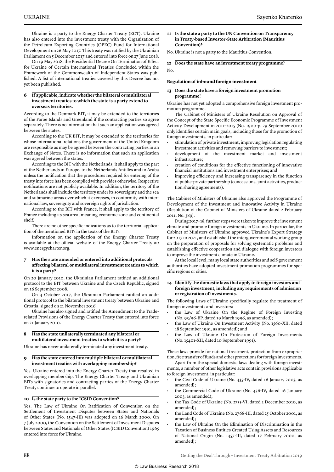Ukraine is a party to the Energy Charter Treaty (ECT). Ukraine has also entered into the investment treaty with the Organization of the Petroleum Exporting Countries (OPEC) Fund for International Development on 26 May 2017. This treaty was ratified by the Ukrainian Parliament on 5 December 2017 and entered into force on 27 June 2018.

On 19 May 2018, the Presidential Decree On Termination of Effect for Ukraine of Certain International Treaties Concluded within the Framework of the Commonwealth of Independent States was published. A list of international treaties covered by this Decree has not yet been published.

#### **6 If applicable, indicate whether the bilateral or multilateral investment treaties to which the state is a party extend to overseas territories.**

According to the Denmark BIT, it may be extended to the territories of the Faroe Islands and Greenland if the contracting parties so agree separately. There is no information that such an application was agreed between the states.

According to the UK BIT, it may be extended to the territories for whose international relations the government of the United Kingdom are responsible as may be agreed between the contracting parties in an Exchange of Notes. There is no information that such an application was agreed between the states.

According to the BIT with the Netherlands, it shall apply to the part of the Netherlands in Europe, to the Netherlands Antilles and to Aruba unless the notification that the procedures required for entering of the treaty into force has been complied with provides otherwise. Respective notifications are not publicly available. In addition, the territory of the Netherlands shall include the territory under its sovereignty and the sea and submarine areas over which it exercises, in conformity with international law, sovereignty and sovereign rights of jurisdiction.

According to the BIT with France, it shall apply to the territory of France including its sea area, meaning economic zone and continental shelf.

There are no other specific indications as to the territorial application of the mentioned BITs in the texts of the BITs.

Information on the application of the Energy Charter Treaty is available at the official website of the Energy Charter Treaty at: www.energycharter.org.

#### **7 Has the state amended or entered into additional protocols affecting bilateral or multilateral investment treaties to which it is a party?**

On 20 January 2010, the Ukrainian Parliament ratified an additional protocol to the BIT between Ukraine and the Czech Republic, signed on 16 September 2008.

On 4 October 2017, the Ukrainian Parliament ratified an additional protocol to the bilateral investment treaty between Ukraine and Croatia, signed on 21 November 2016.

Ukraine has also signed and ratified the Amendment to the Traderelated Provisions of the Energy Charter Treaty that entered into force on 21 January 2010.

#### **8 Has the state unilaterally terminated any bilateral or multilateral investment treaties to which it is a party?**

Ukraine has never unilaterally terminated any investment treaty.

#### **9 Has the state entered into multiple bilateral or multilateral investment treaties with overlapping membership?**

Yes. Ukraine entered into the Energy Charter Treaty that resulted in overlapping membership. The Energy Charter Treaty and Ukrainian BITs with signatories and contracting parties of the Energy Charter Treaty continue to operate in parallel.

#### **10 Is the state party to the ICSID Convention?**

Yes. The Law of Ukraine On Ratification of Convention on the Settlement of Investment Disputes between States and Nationals of Other States (No. 1547-III) was adopted on 16 March 2000. On 7 July 2000, the Convention on the Settlement of Investment Disputes between States and Nationals of Other States (ICSID Convention) 1965 entered into force for Ukraine.

**11 Is the state a party to the UN Convention on Transparency in Treaty-based Investor-State Arbitration (Mauritius Convention)?**

No. Ukraine is not a party to the Mauritius Convention.

**12 Does the state have an investment treaty programme?** No.

#### **Regulation of inbound foreign investment**

#### **13 Does the state have a foreign investment promotion programme?**

Ukraine has not yet adopted a comprehensive foreign investment promotion programme.

The Cabinet of Ministers of Ukraine Resolution on Approval of the Concept of the State Specific Economic Programme of Investment Activity Development in 2011–2015 (No. 1900-p, 29 September 2010) only identifies certain main goals, including those for the promotion of foreign investments, in particular:

- stimulation of private investment, improving legislation regulating investment activities and removing barriers to investment;
- development of the investment market and investment infrastructure;
- creation of conditions for the effective functioning of innovative financial institutions and investment enterprises; and
- improving efficiency and increasing transparency in the function of public-private partnership (concessions, joint activities, production sharing agreements).

The Cabinet of Ministers of Ukraine also approved the Programme of Development of the Investment and Innovative Activity in Ukraine (Resolution of the Cabinet of Ministers of Ukraine dated 2 February 2011, No. 389).

During 2017–18, further steps were taken to improve the investment climate and promote foreign investments in Ukraine. In particular, the Cabinet of Ministers of Ukraine approved Ukraine's Export Strategy for 2017 to 2021, and established the intergovernmental working group on the preparation of proposals for solving systematic problems and establishing effective cooperation and dialogue with foreign investors to improve the investment climate in Ukraine.

At the local level, many local state authorities and self-government authorities have adopted investment promotion programmes for specific regions or cities.

#### **14 Identify the domestic laws that apply to foreign investors and foreign investment, including any requirements of admission or registration of investments.**

The following Laws of Ukraine specifically regulate the treatment of foreign investments and investors:

- the Law of Ukraine On the Regime of Foreign Investing (No. 93/96-BP, dated 19 March 1996, as amended);
- the Law of Ukraine On Investment Activity (No. 1560-XII, dated 18 September 1991, as amended); and
- the Law of Ukraine On Protection of Foreign Investments (No. 15401-XII, dated 10 September 1991).

These laws provide for national treatment, protection from expropriation, free transfer of funds and other protections for foreign investments.

Apart from the special domestic laws dealing with foreign investments, a number of other legislative acts contain provisions applicable to foreign investment, in particular:

- the Civil Code of Ukraine (No. 435-IV, dated 16 January 2003, as amended);
- the Commercial Code of Ukraine (No. 436-IV, dated 16 January 2003, as amended);
- the Tax Code of Ukraine (No. 2755-VI, dated 2 December 2010, as amended);
- the Land Code of Ukraine (No. 2768-III, dated 25 October 2001, as amended);
- the Law of Ukraine On the Elimination of Discrimination in the Taxation of Business Entities Created Using Assets and Resources of National Origin (No. 1457-III, dated 17 February 2000, as amended);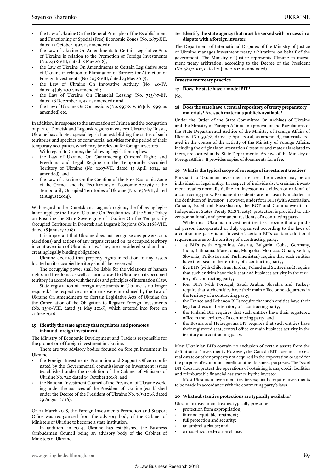- the Law of Ukraine On the General Principles of the Establishment and Functioning of Special (Free) Economic Zones (No. 2673-XII, dated 13 October 1992, as amended);
- the Law of Ukraine On Amendments to Certain Legislative Acts of Ukraine in relation to the Promotion of Foreign Investments (No. 2418-VIII, dated 15 May 2018);
- the Law of Ukraine On Amendments to Certain Legislative Acts of Ukraine in relation to Elimination of Barriers for Attraction of Foreign Investments (No. 2058-VIII, dated 23 May 2017);
- the Law of Ukraine On Innovative Activity (No. 40-IV, dated 4 July 2002, as amended);
- the Law of Ukraine On Financial Leasing (No. 723/97-BP, dated 16 December 1997, as amended); and
- the Law of Ukraine On Concessions (No. 997-XIV, 16 July 1999, as amended) etc.

In addition, in response to the annexation of Crimea and the occupation of part of Donetsk and Lugansk regions in eastern Ukraine by Russia, Ukraine has adopted special legislation establishing the status of such territories and specifics of commercial activities for the period of their temporary occupation, which may be relevant for foreign investors.

With regard to Crimea, the following legislation applies:

- the Law of Ukraine On Guaranteeing Citizens' Rights and Freedoms and Legal Regime on the Temporarily Occupied Territory of Ukraine (No. 1207-VII, dated 15 April 2014, as amended); and
- the Law of Ukraine On the Creation of the Free Economic Zone of the Crimea and the Peculiarities of Economic Activity at the Temporarily Occupied Territories of Ukraine (No. 1636-VII, dated 12 August 2014).

With regard to the Donetsk and Lugansk regions, the following legislation applies: the Law of Ukraine On Peculiarities of the State Policy on Ensuring the State Sovereignty of Ukraine On the Temporarily Occupied Territories in Donetsk and Lugansk Regions (No. 2268-VIII, dated 18 January 2018).

It is important that Ukraine does not recognise any powers, acts (decisions) and actions of any organs created on its occupied territory in contravention of Ukrainian law. They are considered void and not creating legally binding obligations.

Ukraine declared that property rights in relation to any assets located on its occupied territory should be preserved.

The occupying power shall be liable for the violations of human rights and freedoms, as well as harm caused to Ukraine on its occupied territory, in accordance with the rules and principles of international law.

State registration of foreign investments in Ukraine is no longer required. The respective amendments were introduced by the Law of Ukraine On Amendments to Certain Legislative Acts of Ukraine On the Cancellation of the Obligation to Register Foreign Investments (No. 1390-VIII, dated 31 May 2016), which entered into force on 25 June 2016.

#### **15 Identify the state agency that regulates and promotes inbound foreign investment.**

The Ministry of Economic Development and Trade is responsible for the promotion of foreign investment in Ukraine.

There are two advisory bodies focused on foreign investment in Ukraine:

- the Foreign Investments Promotion and Support Office coordinated by the Governmental commissioner on investment issues (established under the resolution of the Cabinet of Ministers of Ukraine No. 740 dated 19 October 2016); and
- the National Investment Council of the President of Ukraine working under the auspices of the President of Ukraine (established under the Decree of the President of Ukraine No. 365/2016, dated 29 August 2016).

On 21 March 2018, the Foreign Investments Promotion and Support Office was reorganised from the advisory body of the Cabinet of Ministers of Ukraine to become a state institution.

In addition, in 2014, Ukraine has established the Business Ombudsman Council being an advisory body of the Cabinet of Ministers of Ukraine.

#### **16 Identify the state agency that must be served with process in a dispute with a foreign investor.**

The Department of International Disputes of the Ministry of Justice of Ukraine manages investment treaty arbitrations on behalf of the government. The Ministry of Justice represents Ukraine in investment treaty arbitration, according to the Decree of the President (No. 581/2002, dated 25 June 2002, as amended).

#### **Investment treaty practice**

#### **17 Does the state have a model BIT?**

No.

#### **18 Does the state have a central repository of treaty preparatory materials? Are such materials publicly available?**

Under the Order of the State Committee On Archives of Ukraine and the Ministry of Foreign Affairs on approval of the Regulations of the State Departmental Archive of the Ministry of Foreign Affairs of Ukraine (No. 59/78, dated 17 April 2006, as amended), materials created in the course of the activity of the Ministry of Foreign Affairs, including the originals of international treaties and materials related to them, are located in the State Departmental Archive of the Ministry of Foreign Affairs. It provides copies of documents for a fee.

#### **19 What is the typical scope of coverage of investment treaties?**

Pursuant to Ukrainian investment treaties, the investor may be an individual or legal entity. In respect of individuals, Ukrainian investment treaties normally define an 'investor' as a citizen or national of a contracting party. Permanent residents are not usually included in the definition of 'investor'. However, under four BITs (with Azerbaijan, Canada, Israel and Kazakhstan), the ECT and Commonwealth of Independent States Treaty (CIS Treaty), protection is provided to citizens or nationals and permanent residents of a contracting party.

While most Ukrainian investment treaties provide that a juridical person incorporated or duly organised according to the laws of a contracting party is an 'investor', certain BITs contain additional requirements as to the territory of a contracting party:

- 14 BITs (with Argentina, Austria, Bulgaria, Cuba, Germany, India, Lithuania, Macedonia, Mongolia, Morocco, Oman, Serbia, Slovenia, Tajikistan and Turkmenistan) require that such entities have their seat in the territory of a contracting party;
- five BITs (with Chile, Iran, Jordan, Poland and Switzerland) require that such entities have their seat and business activity in the territory of a contracting party;
- four BITs (with Portugal, Saudi Arabia, Slovakia and Turkey) require that such entities have their main office or headquarters in the territory of a contracting party;
- the France and Lebanon BITs require that such entities have their legal address in the territory of a contracting party;
- the Finland BIT requires that such entities have their registered office in the territory of a contracting party; and
- the Bosnia and Herzegovina BIT requires that such entities have their registered seat, central office or main business activity in the territory of a contracting party.

Most Ukrainian BITs contain no exclusion of certain assets from the definition of 'investment'. However, the Canada BIT does not protect real estate or other property not acquired in the expectation or used for the purpose of economic benefit or other business purposes. The Israel BIT does not protect the operations of obtaining loans, credit facilities and reimbursable financial assistance by the investor.

Most Ukrainian investment treaties explicitly require investments to be made in accordance with the contracting party's laws.

#### **20 What substantive protections are typically available?**

Ukrainian investment treaties typically prescribe:

- protection from expropriation;
- fair and equitable treatment;
- full protection and security;
- an umbrella clause; and
- a most-favoured-nation clause.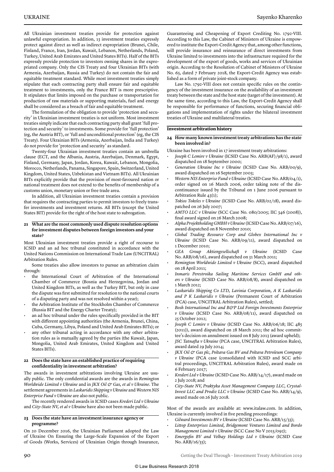All Ukrainian investment treaties provide for protection against unlawful expropriation. In addition, 13 investment treaties expressly protect against direct as well as indirect expropriation (Brunei, Chile, Finland, France, Iran, Jordan, Kuwait, Lebanon, Netherlands, Poland, Turkey, United Arab Emirates and United States BITs). Half of the BITs expressly provide protection to investors owning shares in the expropriated company. Only the CIS Treaty and four Ukrainian BITs (with Armenia, Azerbaijan, Russia and Turkey) do not contain the fair and equitable treatment standard. While most investment treaties simply stipulate that each contracting party shall ensure fair and equitable treatment to investments, only the France BIT is more prescriptive. It stipulates that limits imposed on the purchase or transportation for production of raw materials or supporting materials, fuel and energy shall be considered as a breach of fair and equitable treatment.

The formulation of the obligation to provide 'protection and security' in Ukrainian investment treaties is not uniform. Most investment treaties simply indicate that each contracting party shall grant 'full protection and security' to investments. Some provide for 'full protection' (eg, the Austria BIT), or 'full and unconditional protection' (eg, the CIS Treaty). Four Ukrainian BITs (Armenia, Azerbaijan, India and Turkey) do not provide for 'protection and security' as standard.

Twenty-four Ukrainian investment treaties contain an umbrella clause (ECT, and the Albania, Austria, Azerbaijan, Denmark, Egypt, Finland, Germany, Japan, Jordan, Korea, Kuwait, Lebanon, Mongolia, Morocco, Netherlands, Panama, Singapore, Spain, Switzerland, United Kingdom, United States, Uzbekistan and Vietnam BITs). All Ukrainian BITs explicitly provide that the provision of most-favoured nation or national treatment does not extend to the benefits of membership of a customs union, monetary union or free trade area.

In addition, all Ukrainian investment treaties contain a provision that requires the contracting parties to permit investors to freely transfer investments and investment returns. All BITs (except the United States BIT) provide for the right of the host state to subrogation.

#### **21 What are the most commonly used dispute resolution options for investment disputes between foreign investors and your state?**

Most Ukrainian investment treaties provide a right of recourse to ICSID and an ad hoc tribunal constituted in accordance with the United Nations Commission on International Trade Law (UNCITRAL) Arbitration Rules.

Some treaties also allow investors to pursue an arbitration claim through:

- the International Court of Arbitration of the International Chamber of Commerce (Bosnia and Herzegovina, Jordan and United Kingdom BITs, as well as the Turkey BIT, but only in case the dispute was first submitted for resolution to the national courts of a disputing party and was not resolved within a year);
- the Arbitration Institute of the Stockholm Chamber of Commerce (Russia BIT and the Energy Charter Treaty);
- an ad hoc tribunal under the rules specifically provided in the BIT with different appointing authorities (the Armenia, Brunei, China, Cuba, Germany, Libya, Poland and United Arab Emirates BITs); or
- any other tribunal acting in accordance with any other arbitration rules as is mutually agreed by the parties (the Kuwait, Japan, Mongolia, United Arab Emirates, United Kingdom and United States BITs).

#### **22 Does the state have an established practice of requiring confidentiality in investment arbitration?**

The awards in investment arbitrations involving Ukraine are usually public. The only confidential awards are the awards in *Remington Worldwide Limited v Ukraine* and in *JKX Oil & Gas, et al v Ukraine*. The settlement agreements in *Laskaridis Shipping v Ukraine* and *Western NIS Enterprise Fund v Ukraine* are also not public.

The recently rendered awards in ICSID cases *Krederi Ltd v Ukraine*  and *City-State NV, et al v Ukraine* have also not been made public.

#### **23 Does the state have an investment insurance agency or programme?**

On 20 December 2016, the Ukrainian Parliament adopted the Law of Ukraine On Ensuring the Large-Scale Expansion of the Export of Goods (Works, Services) of Ukrainian Origin through Insurance,

Guaranteeing and Cheapening of Export Crediting No. 1792-VIII. According to this Law, the Cabinet of Ministers of Ukraine is empowered to institute the Export-Credit Agency that, among other functions, will provide insurance and reinsurance of direct investments from Ukraine limited to investments into the infrastructure required for the development of the export of goods, works and services of Ukrainian origin. According to the Resolution of Cabinet of Ministers of Ukraine No. 65, dated 7 February 2018, the Export-Credit Agency was established as a form of private joint-stock company.

Law No. 1792-VIII does not contain specific rules on the contingency of the investment insurance on the availability of an investment treaty between the state and the host state (target of the investment). At the same time, according to this Law, the Export-Credit Agency shall be responsible for performance of functions, securing financial obligations and implementation of rights under the bilateral investment treaties of Ukraine and multilateral treaties.

#### **Investment arbitration history**

#### **24 How many known investment treaty arbitrations has the state been involved in?**

Ukraine has been involved in 17 investment treaty arbitrations:

- *Joseph C Lemire v Ukraine* (ICSID Case No. ARB(AF)/98/1), award dispatched on 18 September 2000;
- *Generation Ukraine Inc v Ukraine* (ICSID Case No. ARB/00/9), award dispatched on 16 September 2003;
- *Western NIS Enterprise Fund v Ukraine* (ICSID Case No. ARB/04/2), order signed on 16 March 2006, order taking note of the discontinuance issued by the Tribunal on 1 June 2006 pursuant to Arbitration Rule 43(1);
- *Tokios Tokeles v Ukraine* (ICSID Case No. ARB/02/18), award dispatched on 26 July 2007;
- *AMTO LLC v Ukraine* (SCC Case No. 080/2005; IIC 346 (2008)), final award signed on 26 March 2008;
- *Alpha Projektholding GMBH v Ukraine* (ICSID Case No. ARB/07/16), award dispatched on 8 November 2010;
- *Global Trading Resource Corp and Globex International Inc v Ukraine* (ICSID Case No. ARB/09/11), award dispatched on 1 December 2010;
- *GEA Group Aktiengesellschaft v Ukraine* (ICSID Case No. ARB/08/16), award dispatched on 31 March 2011;
- *Remington Worldwide Limited v Ukraine* (SCC), award dispatched on 28 April 2011;
- *Inmaris Perestroika Sailing Maritime Services GmbH and others v Ukraine* (ICSID Case No. ARB/08/8), award dispatched on 1 March 2012;
- *Laskaridis Shipping Co LTD, Lavinia Corporation, A K Laskaridis and P K Laskaridis v Ukraine* (Permanent Court of Arbitration (PCA) case, UNCITRAL Arbitration Rules), settled;
- *Bosh International Inc and B&P Ltd Foreign Investments Enterprise v Ukraine* (ICSID Case No. ARB/08/11), award dispatched on 25 October 2012;
- *Joseph C Lemire v Ukraine* (ICSID Case No. ARB/06/18; IIC 485 (2011)), award dispatched on 28 March 2011; the ad hoc committee's decision on annulment issued on 8 July 2013 (award upheld);
- *JSC Tatnafta v Ukraine* (PCA case, UNCITRAL Arbitration Rules), award dated 29 July 2014;
- *JKX Oil & Gas plc, Poltava Gas BV and Poltava Petroleum Company v Ukraine* (PCA case (consolidated with ICSID and SCC arbitral proceedings, UNCITRAL Arbitration Rules), award made on 6 February 2017;
- *Krederi Ltd v Ukraine* (ICSID Case No. ARB/14/17), award made on 2 July 2018; and
- *City-State NV, Praktyka Asset Management Company LLC, Crystal-Invest LLC and Prodiz LLC v Ukraine* (ICSID Case No. ARB/14/9), award made on 26 July 2018.

Most of the awards are available at: www.italaw.com. In addition, Ukraine is currently involved in five pending proceedings:

- *Gilward Investments BV v Ukraine* (ICSID Case No. ARB/15/33);
- *Littop Enterprises Limited, Bridgemont Ventures Limited and Bordo Management Limited v Ukraine* (SCC Case No V 2015/092);
- *Emergofin BV and Velbay Holdings Ltd v Ukraine* (ICSID Case No. ARB/16/35);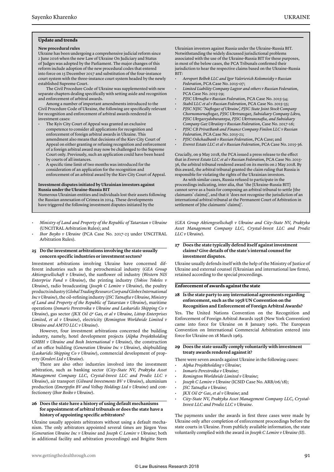#### **Update and trends**

#### **New procedural rules**

Ukraine has been undergoing a comprehensive judicial reform since 2 June 2016 when the new Law of Ukraine On Judiciary and Status of Judges was adopted by the Parliament. The major changes of this reform include adoption of the new procedural codes that entered into force on 15 December 2017 and substitution of the four-instance court system with the three-instance court system headed by the newly established Supreme Court.

The Civil Procedure Code of Ukraine was supplemented with new separate chapters dealing specifically with setting aside and recognition and enforcement of arbitral awards.

Among a number of important amendments introduced to the Civil Procedure Code of Ukraine, the following are specifically relevant for recognition and enforcement of arbitral awards rendered in investment cases:

- The Kyiv City Court of Appeal was granted an exclusive competence to consider all applications for recognition and enforcement of foreign arbitral awards in Ukraine. This amendment also means that decisions of the Kiev City Court of Appeal on either granting or refusing recognition and enforcement of a foreign arbitral award may now be challenged to the Supreme Court only. Previously, such an application could have been heard by courts of all instances.
- A specific time limit of two months was introduced for the consideration of an application for the recognition and enforcement of an arbitral award by the Kiev City Court of Appeal.

#### **Investment disputes initiated by Ukrainian investors against Russia under the Ukraine-Russia BIT**

Numerous Ukrainian entities and individuals lost their assets following the Russian annexation of Crimea in 2014. These developments have triggered the following investment disputes initiated by the

- *Ministry of Land and Property of the Republic of Tatarstan v Ukraine* (UNCITRAL Arbitration Rules); and
- *Ihor Boyko v Ukraine* (PCA Case No. 2017-23 under UNCITRAL Arbitration Rules).

#### **25 Do the investment arbitrations involving the state usually concern specific industries or investment sectors?**

Investment arbitrations involving Ukraine have concerned different industries such as the petrochemical industry (*GEA Group Aktiengesellschaft v Ukraine*), the sunflower oil industry (*Western NIS Enterprise Fund v Ukraine*), the printing industry (*Tokios Tokeles v Ukraine*), radio broadcasting (*Joseph C Lemire v Ukraine*), the poultry products industry (*Global Trading Resource Corp and Globex International Inc v Ukraine*), the oil-refining industry (*JSC Tatnafta v Ukraine, Ministry of Land and Property of the Republic of Tatarstan v Ukraine*), maritime operations (*Inmaris Perestroika v Ukraine and Laskaridis Shipping Co v Ukraine*), gas sector (*JKX Oil & Gas, et al v Ukraine*, *Littop Enterprises Limited, et al v Ukraine*), electricity (*Remington Worldwide Limited v Ukraine and AMTO LLC v Ukraine*).

However, four investment arbitrations concerned the building industry, namely, hotel development projects (*Alpha Projektholding GMBH v Ukraine and Bosh International v Ukraine*), the construction of an office building (*Generation Ukraine Inc v Ukraine*), shipbuilding (*Laskaridis Shipping Co v Ukraine*), commercial development of property (*Krederi Ltd v Ukraine*).

There are also other industries involved into the investment arbitration, such as banking sector (*City-State NV, Praktyka Asset Management Company LLC, Crystal-Invest LLC and Prodiz LLC v Ukraine*), air transport (*Gilward Investments BV v Ukraine*), aluminium production (*Emergofin BV and Velbay Holdings Ltd v Ukraine*) and confectionery (*Ihor Boiko v Ukraine*).

#### **26 Does the state have a history of using default mechanisms for appointment of arbitral tribunals or does the state have a history of appointing specific arbitrators?**

Ukraine usually appoints arbitrators without using a default mechanism. The only arbitrators appointed several times are Jürgen Voss (*Generation Ukraine Inc v Ukraine* and *Joseph C Lemire v Ukraine*; both in additional facility and arbitration proceedings) and Brigitte Stern Ukrainian investors against Russia under the Ukraine-Russia BIT. Notwithstanding the widely discussed jurisdictional problems associated with the use of the Ukraine-Russia BIT for these purposes, in most of the below cases, the PCA Tribunals confirmed their jurisdiction to hear the respective claims based on the Ukraine-Russia BIT:

- *Aeroport Belbek LLC and Igor Valerievich Kolomoisky v Russian Federation*, PCA Case No. 2015-07;
- *Limited Liability Company Lugzor and others v Russian Federation*, PCA Case No. 2015-29;
- *PJSC Ukrnafta v Russian Federation*, PCA Case No. 2015-34;
- *Stabil LLC et al v Russian Federation*, PCA Case No. 2015-35;
- *PJSC NJSC 'Naftogaz of Ukraine', PJSC State Joint Stock Company Chornomornaftogaz, PJSC Ukrtransgaz, Subsidiary Company Likvo, PJSC Ukrgasvydobuvannya, PJSC Ukrtransnafta, and Subsidiary Company Gaz Ukraiiny v Russian Federation*, Case No. 2017-16;
- *PJSC CB PrivatBank and Finance Company Finilon LLC v Russian Federation*, PCA Case No. 2015-21;
- *PJSC Oshchadbank v Russian Federation*, PCA Case; and
- *Everest Estate LLC et al v Russian Federation*, PCA Case No. 2015-36.

Crucially, on 9 May 2018, the PCA issued a press release to the effect that in *Everest Estate LLC et al v Russian Federation*, PCA Case No. 2015- 36, the arbitral tribunal rendered award on its merits on 2 May 2018. By this award, the arbitral tribunal granted the claim ruling that Russia is responsible for violating the rights of the Ukrainian investors.

As with similar cases, Russia refused to participate in the proceedings indicating, inter alia, that 'the [Ukraine-Russia BIT] cannot serve as a basis for composing an arbitral tribunal to settle [the claimants' claims]', and that it 'does not recognise the jurisdiction of an international arbitral tribunal at the Permanent Court of Arbitration in settlement of [the claimants' claims]'.

(*GEA Group Aktiengesellschaft v Ukraine and City-State NV, Praktyka Asset Management Company LLC, Crystal-Invest LLC and Prodiz LLC v Ukraine*).

#### **27 Does the state typically defend itself against investment claims? Give details of the state's internal counsel for investment disputes.**

Ukraine usually defends itself with the help of the Ministry of Justice of Ukraine and external counsel (Ukrainian and international law firms), retained according to the special proceedings.

#### **Enforcement of awards against the state**

#### **28 Is the state party to any international agreements regarding enforcement, such as the 1958 UN Convention on the Recognition and Enforcement of Foreign Arbitral Awards?**

Yes. The United Nations Convention on the Recognition and Enforcement of Foreign Arbitral Awards 1958 (New York Convention) came into force for Ukraine on 8 January 1961. The European Convention on International Commercial Arbitration entered into force for Ukraine on 18 March 1963.

#### **29 Does the state usually comply voluntarily with investment treaty awards rendered against it?**

There were seven awards against Ukraine in the following cases:

- *Alpha Projektholding v Ukraine*;
- *Inmaris Perestroika v Ukraine*;
- *Remington Worldwide Limited v Ukraine*;
- *Joseph C Lemire v Ukraine* (ICSID Case No. ARB/06/18);
- *JSC Tatnafta v Ukraine*;
- *JKX Oil & Gas, et al v Ukraine*; and
- *City-State NV, Praktyka Asset Management Company LLC, Crystal-Invest LLC and Prodiz LLC v Ukraine*.

The payments under the awards in first three cases were made by Ukraine only after completion of enforcement proceedings before the state courts in Ukraine. From publicly available information, the state voluntarily complied with the award in *Joseph C Lemire v Ukraine (II)*.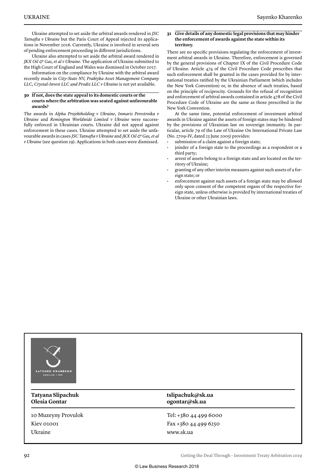Ukraine attempted to set aside the arbitral awards rendered in *JSC Tatnafta v Ukraine* but the Paris Court of Appeal rejected its applications in November 2016. Currently, Ukraine is involved in several sets of pending enforcement proceeding in different jurisdictions.

Ukraine also attempted to set aside the arbitral award rendered in *JKX Oil & Gas, et al v Ukraine*. The application of Ukraine submitted to the High Court of England and Wales was dismissed in October 2017.

Information on the compliance by Ukraine with the arbitral award recently made in *City-State NV, Praktyka Asset Management Company LLC, Crystal-Invest LLC and Prodiz LLC v Ukraine* is not yet available.

#### **30 If not, does the state appeal to its domestic courts or the courts where the arbitration was seated against unfavourable awards?**

The awards in *Alpha Projektholding v Ukraine*, *Inmaris Perestroika v Ukraine* and *Remington Worldwide Limited v Ukraine* were successfully enforced in Ukrainian courts. Ukraine did not appeal against enforcement in these cases. Ukraine attempted to set aside the unfavourable awards in cases *JSC Tatnafta v Ukraine* and *JKX Oil & Gas, et al v Ukraine* (see question 29). Applications in both cases were dismissed.

#### **31 Give details of any domestic legal provisions that may hinder the enforcement of awards against the state within its territory.**

There are no specific provisions regulating the enforcement of investment arbitral awards in Ukraine. Therefore, enforcement is governed by the general provisions of Chapter IX of the Civil Procedure Code of Ukraine. Article 474 of the Civil Procedure Code prescribes that such enforcement shall be granted in the cases provided for by international treaties ratified by the Ukrainian Parliament (which includes the New York Convention) or, in the absence of such treaties, based on the principle of reciprocity. Grounds for the refusal of recognition and enforcement of arbitral awards contained in article 478 of the Civil Procedure Code of Ukraine are the same as those prescribed in the New York Convention.

At the same time, potential enforcement of investment arbitral awards in Ukraine against the assets of foreign states may be hindered by the provisions of Ukrainian law on sovereign immunity. In particular, article 79 of the Law of Ukraine On International Private Law (No. 2709-IV, dated 23 June 2005) provides:

submission of a claim against a foreign state;

- joinder of a foreign state to the proceedings as a respondent or a third party;
- arrest of assets belong to a foreign state and are located on the territory of Ukraine;
- granting of any other interim measures against such assets of a foreign state; or
- enforcement against such assets of a foreign state may be allowed only upon consent of the competent organs of the respective foreign state, unless otherwise is provided by international treaties of Ukraine or other Ukrainian laws.